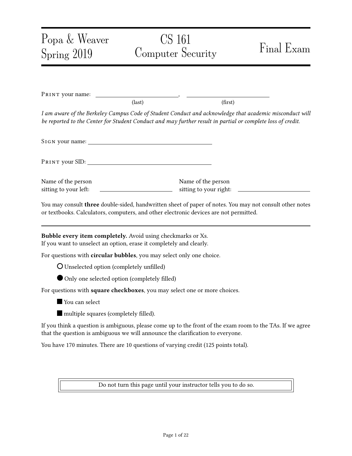## Popa & Weaver Spring 2019 CS 161 Computer Security Final Exam PRINT your name:  $\text{(last)}$  (first) I am aware of the Berkeley Campus Code of Student Conduct and acknowledge that academic misconduct will be reported to the Center for Student Conduct and may further result in partial or complete loss of credit. SIGN your name: Pr int your SID: Name of the person sitting to your left: Name of the person sitting to your right: You may consult three double-sided, handwritten sheet of paper of notes. You may not consult other notes or textbooks. Calculators, computers, and other electronic devices are not permitted. Bubble every item completely. Avoid using checkmarks or Xs. If you want to unselect an option, erase it completely and clearly. For questions with circular bubbles, you may select only one choice. O Unselected option (completely unfilled) Only one selected option (completely filled) For questions with square checkboxes, you may select one or more choices. **You can select**  $\blacksquare$  multiple squares (completely filled). If you think a question is ambiguous, please come up to the front of the exam room to the TAs. If we agree that the question is ambiguous we will announce the clarification to everyone. You have 170 minutes. There are 10 questions of varying credit (125 points total).

Do not turn this page until your instructor tells you to do so.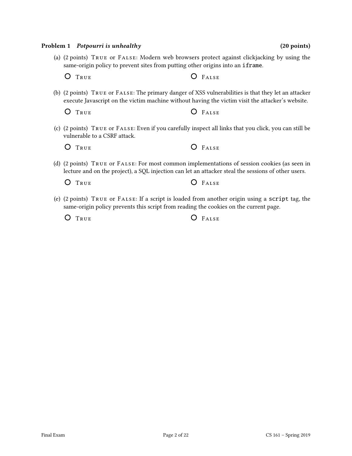# O TRUE **O** FALSE

(c) (2 points) True or False: Even if you carefully inspect all links that you click, you can still be vulnerable to a CSRF attack.

(a) (2 points) True or False: Modern web browsers protect against clickjacking by using the

(b) (2 points) True or False: The primary danger of XSS vulnerabilities is that they let an attacker execute Javascript on the victim machine without having the victim visit the attacker's website.

same-origin policy to prevent sites from putting other origins into an iframe.

| O TRUE<br>O FALSE |
|-------------------|
|-------------------|

O TRUE **O** FALSE

(d) (2 points) True or False: For most common implementations of session cookies (as seen in lecture and on the project), a SQL injection can let an attacker steal the sessions of other users.

O TRUE **O** FALSE

(e) (2 points) True or False: If a script is loaded from another origin using a script tag, the same-origin policy prevents this script from reading the cookies on the current page.

O TRUE **O** FALSE

Problem 1 Potpourri is unhealthy (20 points) (20 points)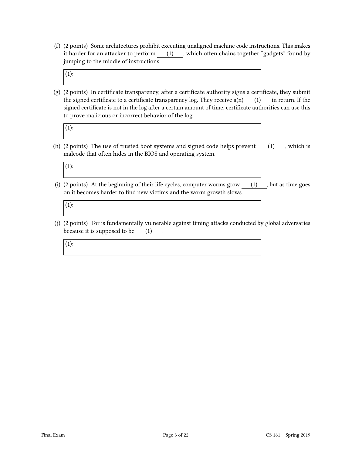(f) (2 points) Some architectures prohibit executing unaligned machine code instructions. This makes it harder for an attacker to perform (1), which often chains together "gadgets" found by jumping to the middle of instructions.

 $(1):$ 

 $(g)$  (2 points) In certificate transparency, after a certificate authority signs a certificate, they submit the signed certificate to a certificate transparency log. They receive  $a(n)$  (1) in return. If the signed certificate is not in the log after a certain amount of time, certificate authorities can use this to prove malicious or incorrect behavior of the log.

(1):

(h)  $(2 \text{ points})$  The use of trusted boot systems and signed code helps prevent  $(1)$ , which is malcode that often hides in the BIOS and operating system.

(1):

(i) (2 points) At the beginning of their life cycles, computer worms grow (1) , but as time goes on it becomes harder to find new victims and the worm growth slows.

 $(1):$ 

(j) (2 points) Tor is fundamentally vulnerable against timing attacks conducted by global adversaries because it is supposed to be (1)

(1):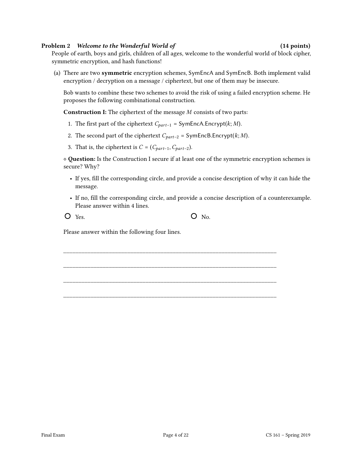#### Problem 2 Welcome to the Wonderful World of (14 points) (14 points)

People of earth, boys and girls, children of all ages, welcome to the wonderful world of block cipher, symmetric encryption, and hash functions!

(a) There are two symmetric encryption schemes, SymEncA and SymEncB. Both implement valid encryption / decryption on a message / ciphertext, but one of them may be insecure.

Bob wants to combine these two schemes to avoid the risk of using a failed encryption scheme. He proposes the following combinational construction.

**Construction I:** The ciphertext of the message  $M$  consists of two parts:

- 1. The first part of the ciphertext  $C_{part-1}$  = SymEncA. Encrypt( $k; M$ ).
- 2. The second part of the ciphertext  $C_{part-2} = SymEncB.Encrypt(k; M)$ .
- 3. That is, the ciphertext is  $C = (C_{part-1}, C_{part-2})$ .

⋄ Question: Is the Construction I secure if at least one of the symmetric encryption schemes is secure? Why?

- If yes, fill the corresponding circle, and provide a concise description of why it can hide the message.
- If no, fill the corresponding circle, and provide a concise description of a counterexample. Please answer within 4 lines.

\_\_\_\_\_\_\_\_\_\_\_\_\_\_\_\_\_\_\_\_\_\_\_\_\_\_\_\_\_\_\_\_\_\_\_\_\_\_\_\_\_\_\_\_\_\_\_\_\_\_\_\_\_\_\_\_\_\_\_\_\_\_\_\_\_\_\_\_\_\_

\_\_\_\_\_\_\_\_\_\_\_\_\_\_\_\_\_\_\_\_\_\_\_\_\_\_\_\_\_\_\_\_\_\_\_\_\_\_\_\_\_\_\_\_\_\_\_\_\_\_\_\_\_\_\_\_\_\_\_\_\_\_\_\_\_\_\_\_\_\_

\_\_\_\_\_\_\_\_\_\_\_\_\_\_\_\_\_\_\_\_\_\_\_\_\_\_\_\_\_\_\_\_\_\_\_\_\_\_\_\_\_\_\_\_\_\_\_\_\_\_\_\_\_\_\_\_\_\_\_\_\_\_\_\_\_\_\_\_\_\_

\_\_\_\_\_\_\_\_\_\_\_\_\_\_\_\_\_\_\_\_\_\_\_\_\_\_\_\_\_\_\_\_\_\_\_\_\_\_\_\_\_\_\_\_\_\_\_\_\_\_\_\_\_\_\_\_\_\_\_\_\_\_\_\_\_\_\_\_\_\_

 $Y$ es.  $O \quad No.$ 

Please answer within the following four lines.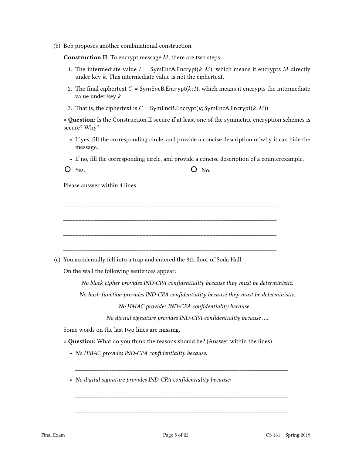(b) Bob proposes another combinational construction.

**Construction II:** To encrypt message  $M$ , there are two steps:

- 1. The intermediate value  $I = SymEncA$ . Encrypt $(k; M)$ , which means it encrypts M directly under key  $k$ . This intermediate value is not the ciphertext.
- 2. The final ciphertext  $C = SymEncB. Encrypt(k; I)$ , which means it encrypts the intermediate value under key  $k$ .
- 3. That is, the ciphertext is  $C = SymEncB$ . Encrypt( $k$ ; SymEncA. Encrypt( $k$ ;  $M$ ))

\_\_\_\_\_\_\_\_\_\_\_\_\_\_\_\_\_\_\_\_\_\_\_\_\_\_\_\_\_\_\_\_\_\_\_\_\_\_\_\_\_\_\_\_\_\_\_\_\_\_\_\_\_\_\_\_\_\_\_\_\_\_\_\_\_\_\_\_\_\_

\_\_\_\_\_\_\_\_\_\_\_\_\_\_\_\_\_\_\_\_\_\_\_\_\_\_\_\_\_\_\_\_\_\_\_\_\_\_\_\_\_\_\_\_\_\_\_\_\_\_\_\_\_\_\_\_\_\_\_\_\_\_\_\_\_\_\_\_\_\_

\_\_\_\_\_\_\_\_\_\_\_\_\_\_\_\_\_\_\_\_\_\_\_\_\_\_\_\_\_\_\_\_\_\_\_\_\_\_\_\_\_\_\_\_\_\_\_\_\_\_\_\_\_\_\_\_\_\_\_\_\_\_\_\_\_\_\_\_\_\_

\_\_\_\_\_\_\_\_\_\_\_\_\_\_\_\_\_\_\_\_\_\_\_\_\_\_\_\_\_\_\_\_\_\_\_\_\_\_\_\_\_\_\_\_\_\_\_\_\_\_\_\_\_\_\_\_\_\_\_\_\_\_\_\_\_\_\_\_\_\_

⋄ Question: Is the Construction II secure if at least one of the symmetric encryption schemes is secure? Why?

- If yes, fill the corresponding circle, and provide a concise description of why it can hide the message.
- If no, fill the corresponding circle, and provide a concise description of a counterexample.

Please answer within 4 lines.

(c) You accidentally fell into a trap and entered the 8th floor of Soda Hall.

On the wall the following sentences appear:

No block cipher provides IND-CPA confidentiality because they must be deterministic.

No hash function provides IND-CPA confidentiality because they must be deterministic.

No HMAC provides IND-CPA confidentiality because ...

No digital signature provides IND-CPA confidentiality because ....

\_\_\_\_\_\_\_\_\_\_\_\_\_\_\_\_\_\_\_\_\_\_\_\_\_\_\_\_\_\_\_\_\_\_\_\_\_\_\_\_\_\_\_\_\_\_\_\_\_\_\_\_\_\_\_\_\_\_\_\_\_\_\_\_\_\_\_\_\_\_

\_\_\_\_\_\_\_\_\_\_\_\_\_\_\_\_\_\_\_\_\_\_\_\_\_\_\_\_\_\_\_\_\_\_\_\_\_\_\_\_\_\_\_\_\_\_\_\_\_\_\_\_\_\_\_\_\_\_\_\_\_\_\_\_\_\_\_\_\_\_

\_\_\_\_\_\_\_\_\_\_\_\_\_\_\_\_\_\_\_\_\_\_\_\_\_\_\_\_\_\_\_\_\_\_\_\_\_\_\_\_\_\_\_\_\_\_\_\_\_\_\_\_\_\_\_\_\_\_\_\_\_\_\_\_\_\_\_\_\_\_

Some words on the last two lines are missing.

⋄ Question: What do you think the reasons should be? (Answer within the lines)

- No HMAC provides IND-CPA confidentiality because:
- No digital signature provides IND-CPA confidentiality because: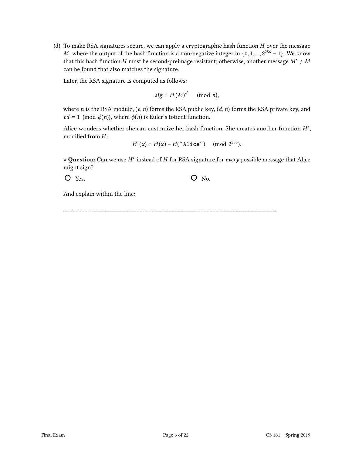(d) To make RSA signatures secure, we can apply a cryptographic hash function  $H$  over the message M, where the output of the hash function is a non-negative integer in  $\{0, 1, ..., 2^{256} - 1\}$ . We know that this hash function  $H$  must be second-preimage resistant; otherwise, another message  $M' \neq M$ can be found that also matches the signature.

Later, the RSA signature is computed as follows:

$$
sig = H(M)^d \pmod{n},
$$

where *n* is the RSA modulo,  $(e, n)$  forms the RSA public key,  $(d, n)$  forms the RSA private key, and  $ed \equiv 1 \pmod{\phi(n)}$ , where  $\phi(n)$  is Euler's totient function.

Alice wonders whether she can customize her hash function. She creates another function  $H'$ , modified from  $H$ :

$$
H'(x) = H(x) - H(" \texttt{Alice"}) \pmod{2^{256}}.
$$

◇ Question: Can we use H' instead of H for RSA signature for every possible message that Alice might sign?

\_\_\_\_\_\_\_\_\_\_\_\_\_\_\_\_\_\_\_\_\_\_\_\_\_\_\_\_\_\_\_\_\_\_\_\_\_\_\_\_\_\_\_\_\_\_\_\_\_\_\_\_\_\_\_\_\_\_\_\_\_\_\_\_\_\_\_\_\_\_

 $O$  Yes.  $O$  No.

And explain within the line: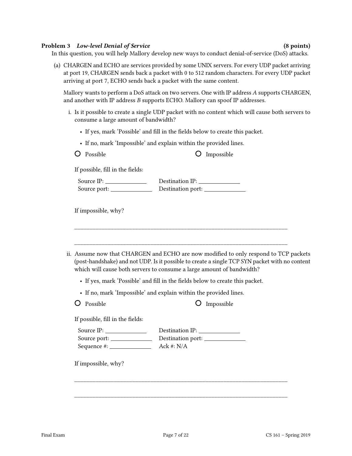#### Problem 3 Low-level Denial of Service (8 points) (8 points)

In this question, you will help Mallory develop new ways to conduct denial-of-service (DoS) attacks.

(a) CHARGEN and ECHO are services provided by some UNIX servers. For every UDP packet arriving at port 19, CHARGEN sends back a packet with 0 to 512 random characters. For every UDP packet arriving at port 7, ECHO sends back a packet with the same content.

Mallory wants to perform a DoS attack on two servers. One with IP address  $A$  supports CHARGEN, and another with IP address B supports ECHO. Mallory can spoof IP addresses.

- i. Is it possible to create a single UDP packet with no content which will cause both servers to consume a large amount of bandwidth?
	- If yes, mark 'Possible' and fill in the fields below to create this packet.
	- If no, mark 'Impossible' and explain within the provided lines.

| Possible |
|----------|
|          |

O Impossible

If possible, fill in the fields:

| Source IP:   | Destination IP:   |
|--------------|-------------------|
| Source port: | Destination port: |

If impossible, why?

| ii. Assume now that CHARGEN and ECHO are now modified to only respond to TCP packets           |
|------------------------------------------------------------------------------------------------|
| (post-handshake) and not UDP. Is it possible to create a single TCP SYN packet with no content |
| which will cause both servers to consume a large amount of bandwidth?                          |

\_\_\_\_\_\_\_\_\_\_\_\_\_\_\_\_\_\_\_\_\_\_\_\_\_\_\_\_\_\_\_\_\_\_\_\_\_\_\_\_\_\_\_\_\_\_\_\_\_\_\_\_\_\_\_\_\_\_\_\_\_\_\_\_\_\_\_\_\_\_

\_\_\_\_\_\_\_\_\_\_\_\_\_\_\_\_\_\_\_\_\_\_\_\_\_\_\_\_\_\_\_\_\_\_\_\_\_\_\_\_\_\_\_\_\_\_\_\_\_\_\_\_\_\_\_\_\_\_\_\_\_\_\_\_\_\_\_\_\_\_

- If yes, mark 'Possible' and fill in the fields below to create this packet.
- If no, mark 'Impossible' and explain within the provided lines.

| Possible |
|----------|
|          |

 $O$  Impossible

If possible, fill in the fields:

| Source IP:    | Destination IP:   |
|---------------|-------------------|
| Source port:  | Destination port: |
| Sequence #: . | Ack #: $N/A$      |

If impossible, why?

\_\_\_\_\_\_\_\_\_\_\_\_\_\_\_\_\_\_\_\_\_\_\_\_\_\_\_\_\_\_\_\_\_\_\_\_\_\_\_\_\_\_\_\_\_\_\_\_\_\_\_\_\_\_\_\_\_\_\_\_\_\_\_\_\_\_\_\_\_\_

\_\_\_\_\_\_\_\_\_\_\_\_\_\_\_\_\_\_\_\_\_\_\_\_\_\_\_\_\_\_\_\_\_\_\_\_\_\_\_\_\_\_\_\_\_\_\_\_\_\_\_\_\_\_\_\_\_\_\_\_\_\_\_\_\_\_\_\_\_\_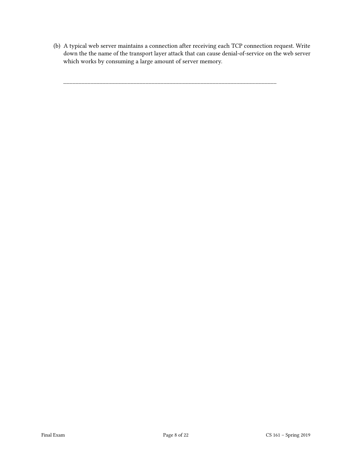(b) A typical web server maintains a connection after receiving each TCP connection request. Write down the the name of the transport layer attack that can cause denial-of-service on the web server which works by consuming a large amount of server memory.

\_\_\_\_\_\_\_\_\_\_\_\_\_\_\_\_\_\_\_\_\_\_\_\_\_\_\_\_\_\_\_\_\_\_\_\_\_\_\_\_\_\_\_\_\_\_\_\_\_\_\_\_\_\_\_\_\_\_\_\_\_\_\_\_\_\_\_\_\_\_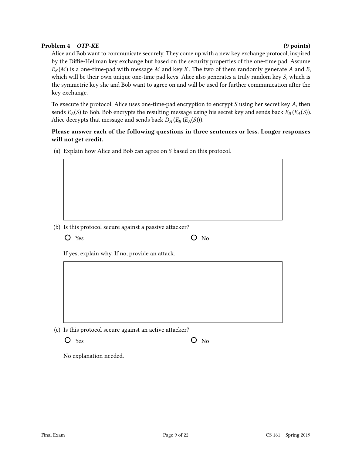#### Problem 4 OTP-KE (9 points)

Alice and Bob want to communicate securely. They come up with a new key exchange protocol, inspired by the Diffie-Hellman key exchange but based on the security properties of the one-time pad. Assume  $E_K(M)$  is a one-time-pad with message M and key K. The two of them randomly generate A and B, which will be their own unique one-time pad keys. Alice also generates a truly random key S, which is the symmetric key she and Bob want to agree on and will be used for further communication after the key exchange.

To execute the protocol, Alice uses one-time-pad encryption to encrypt  $S$  using her secret key  $A$ , then sends  $E_A(S)$  to Bob. Bob encrypts the resulting message using his secret key and sends back  $E_B(E_A(S))$ . Alice decrypts that message and sends back  $D_A(E_B(E_A(S)))$ .

### Please answer each of the following questions in three sentences or less. Longer responses will not get credit.

(a) Explain how Alice and Bob can agree on  $S$  based on this protocol.

(b) Is this protocol secure against a passive attacker?

 $O$  Yes  $O$  No

If yes, explain why. If no, provide an attack.

(c) Is this protocol secure against an active attacker?

 $Yes$   $O$  No

No explanation needed.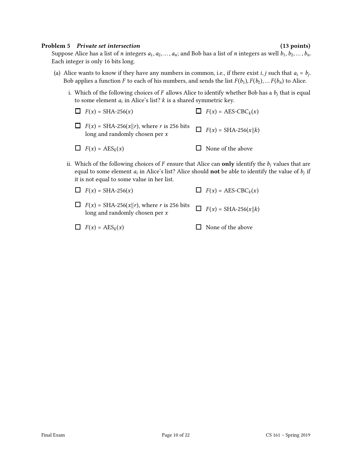#### Problem 5 Private set intersection (13 points) (13 points)

Suppose Alice has a list of *n* integers  $a_1, a_2, ..., a_n$ ; and Bob has a list of *n* integers as well  $b_1, b_2, ..., b_n$ . Each integer is only 16 bits long.

- (a) Alice wants to know if they have any numbers in common, i.e., if there exist *i*, *j* such that  $a_i = b_j$ . Bob applies a function F to each of his numbers, and sends the list  $F(b_1), F(b_2), \ldots F(b_n)$  to Alice.
	- i. Which of the following choices of F allows Alice to identify whether Bob has a  $b_i$  that is equal to some element  $a_i$  in Alice's list?  $k$  is a shared symmetric key.
		- $\Box$   $F(x) = \text{SHA-256}(x)$  $\Box$   $F(x) = \text{SHA-256}(x||r)$ , where r is 256 bits long and randomly chosen per  $x$  $\Box$   $F(x) = \text{AES-CBC}_k(x)$  $\Box$   $F(x) = SHA-256(x||k)$
		- $\Box$   $F(x) = \text{AES}_k(x)$  $\Box$  None of the above
	- ii. Which of the following choices of F ensure that Alice can only identify the  $b_i$  values that are equal to some element  $a_i$  in Alice's list? Alice should **not** be able to identify the value of  $b_j$  if it is not equal to some value in her list.
		- $\Box$   $F(x) = \text{SHA-256}(x)$  $\Box$   $F(x) = \text{AES-CBC}_k(x)$
		- $\Box$   $F(x) = \text{SHA-256}(x||r)$ , where r is 256 bits long and randomly chosen per  $x$  $\Box$   $F(x) = \text{SHA-256}(x || k)$
		- $\Box$   $F(x) = \text{AES}_k(x)$  $\Box$  None of the above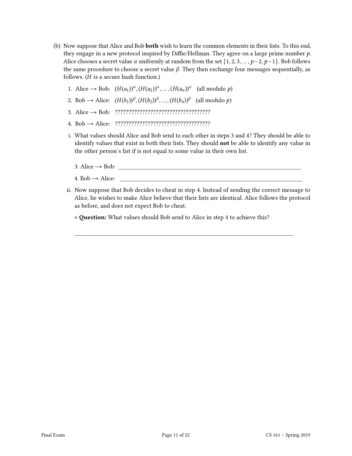- (b) Now suppose that Alice and Bob both wish to learn the common elements in their lists. To this end, they engage in a new protocol inspired by Diffie/Hellman. They agree on a large prime number  $p$ . Alice chooses a secret value  $\alpha$  uniformly at random from the set {1, 2, 3, ...,  $p-2$ ,  $p-1$ }. Bob follows the same procedure to choose a secret value  $\beta$ . They then exchange four messages sequentially, as follows.  $(H$  is a secure hash function.)
	- 1. Alice  $\rightarrow$  Bob:  $(H(a_1))^{\alpha}, (H(a_2))^{\alpha}, \dots, (H(a_n))^{\alpha}$  (all modulo p)
	- 2. Bob  $\rightarrow$  Alice:  $(H(b_1))^{\beta}, (H(b_2))^{\beta}, \dots, (H(b_n))^{\beta}$  (all modulo p)
	- 3. Alice → Bob: ???????????????????????????????????
	- 4. Bob → Alice: ???????????????????????????????????
	- i. What values should Alice and Bob send to each other in steps 3 and 4? They should be able to identify values that exist in both their lists. They should not be able to identify any value in the other person's list if is not equal to some value in their own list.
		- $3. \text{ Alice} \rightarrow \text{Bob:}$
		- 4. Bob  $\rightarrow$  Alice:
	- ii. Now suppose that Bob decides to cheat in step 4. Instead of sending the correct message to Alice, he wishes to make Alice believe that their lists are identical. Alice follows the protocol as before, and does not expect Bob to cheat.

\_\_\_\_\_\_\_\_\_\_\_\_\_\_\_\_\_\_\_\_\_\_\_\_\_\_\_\_\_\_\_\_\_\_\_\_\_\_\_\_\_\_\_\_\_\_\_\_\_\_\_\_\_\_\_\_\_\_\_\_\_\_\_\_\_\_\_\_\_\_\_\_

⋄ Question: What values should Bob send to Alice in step 4 to achieve this?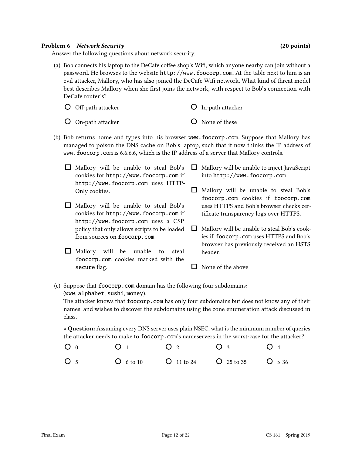### Problem 6 Network Security (20 points)

Answer the following questions about network security.

(a) Bob connects his laptop to the DeCafe coffee shop's Wifi, which anyone nearby can join without a password. He browses to the website http://www.foocorp.com. At the table next to him is an evil attacker, Mallory, who has also joined the DeCafe Wifi network. What kind of threat model best describes Mallory when she first joins the network, with respect to Bob's connection with DeCafe router's?

| $O$ Off-path attacker     | $\overline{O}$ In-path attacker |
|---------------------------|---------------------------------|
| $\Omega$ On-path attacker | $\Omega$ None of these          |

- On-path attacker
- (b) Bob returns home and types into his browser www.foocorp.com. Suppose that Mallory has managed to poison the DNS cache on Bob's laptop, such that it now thinks the IP address of www.foocorp.com is 6.6.6.6, which is the IP address of a server that Mallory controls.
	- $\Box$  Mallory will be unable to steal Bob's cookies for http://www.foocorp.com if http://www.foocorp.com uses HTTP-Only cookies.  $\Box$  Mallory will be unable to steal Bob's cookies for http://www.foocorp.com if http://www.foocorp.com uses a CSP  $\Box$  Mallory will be unable to inject JavaScript into http://www.foocorp.com  $\Box$  Mallory will be unable to steal Bob's foocorp.com cookies if foocorp.com uses HTTPS and Bob's browser checks certificate transparency logs over HTTPS.
		- Mallory will be unable to steal Bob's cook- $\Box$ ies if foocorp.com uses HTTPS and Bob's browser has previously received an HSTS header.
		- $\Box$  None of the above
- (c) Suppose that foocorp.com domain has the following four subdomains: (www, alphabet, sushi, money).

policy that only allows scripts to be loaded

 $\Box$  Mallory will be unable to steal foocorp.com cookies marked with the

from sources on foocorp.com

secure flag.

The attacker knows that foocorp.com has only four subdomains but does not know any of their names, and wishes to discover the subdomains using the zone enumeration attack discussed in class.

⋄ Question: Assuming every DNS server uses plain NSEC, what is the minimum number of queries the attacker needs to make to foocorp.com's nameservers in the worst-case for the attacker?

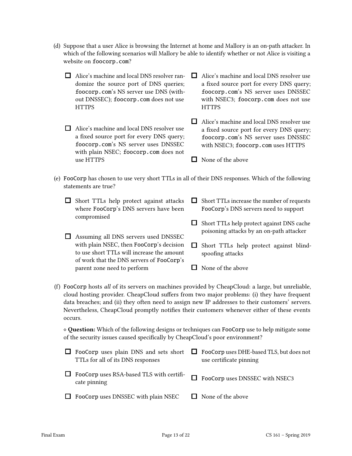- (d) Suppose that a user Alice is browsing the Internet at home and Mallory is an on-path attacker. In which of the following scenarios will Mallory be able to identify whether or not Alice is visiting a website on foocorp.com?
	- Alice's machine and local DNS resolver randomize the source port of DNS queries; foocorp.com's NS server use DNS (without DNSSEC); foocorp.com does not use **HTTPS** □ Alice's machine and local DNS resolver use a fixed source port for every DNS query; foocorp.com's NS server uses DNSSEC **HTTPS**
	- □ Alice's machine and local DNS resolver use a fixed source port for every DNS query; foocorp.com's NS server uses DNSSEC with plain NSEC; foocorp.com does not use HTTPS
- with NSEC3; foocorp.com does not use □ Alice's machine and local DNS resolver use
- a fixed source port for every DNS query; foocorp.com's NS server uses DNSSEC with NSEC3; foocorp.com uses HTTPS
- $\Box$  None of the above
- (e) FooCorp has chosen to use very short TTLs in all of their DNS responses. Which of the following statements are true?
	- $\Box$  Short TTLs help protect against attacks where FooCorp's DNS servers have been compromised Assuming all DNS servers used DNSSEC with plain NSEC, then FooCorp's decision  $\Box$  Short TTLs increase the number of requests FooCorp's DNS servers need to support  $\Box$  Short TTLs help protect against DNS cache poisoning attacks by an on-path attacker  $\Box$  Short TTLs help protect against blind
		- to use short TTLs will increase the amount of work that the DNS servers of FooCorp's parent zone need to perform
- spoofing attacks
	- $\Box$  None of the above
- (f) FooCorp hosts all of its servers on machines provided by CheapCloud: a large, but unreliable, cloud hosting provider. CheapCloud suffers from two major problems: (i) they have frequent data breaches; and (ii) they often need to assign new IP addresses to their customers' servers. Nevertheless, CheapCloud promptly notifies their customers whenever either of these events occurs.

⋄ Question: Which of the following designs or techniques can FooCorp use to help mitigate some of the security issues caused specifically by CheapCloud's poor environment?

| $\Box$ FooCorp uses plain DNS and sets short $\Box$ FooCorp uses DHE-based TLS, but does not<br>TTLs for all of its DNS responses | use certificate pinning        |
|-----------------------------------------------------------------------------------------------------------------------------------|--------------------------------|
| $\Box$ FooCorp uses RSA-based TLS with certifi-<br>cate pinning                                                                   | FooCorp uses DNSSEC with NSEC3 |
| $\Box$ FooCorp uses DNSSEC with plain NSEC                                                                                        | $\Box$ None of the above       |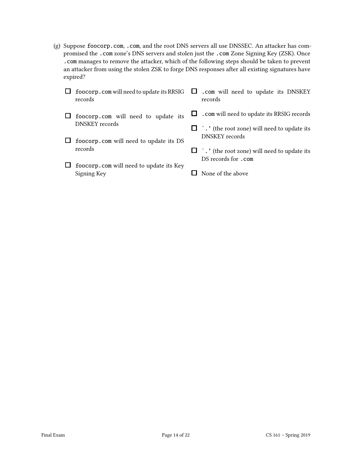(g) Suppose foocorp.com, .com, and the root DNS servers all use DNSSEC. An attacker has compromised the .com zone's DNS servers and stolen just the .com Zone Signing Key (ZSK). Once .com manages to remove the attacker, which of the following steps should be taken to prevent an attacker from using the stolen ZSK to forge DNS responses after all existing signatures have expired?

| foocorp. com will need to update its RRSIG $\Box$<br>records | .com will need to update its DNSKEY<br>records                              |
|--------------------------------------------------------------|-----------------------------------------------------------------------------|
| foocorp.com will need to update its                          | . com will need to update its RRSIG records                                 |
| <b>DNSKEY</b> records                                        | $\Box$ . ' (the root zone) will need to update its<br><b>DNSKEY</b> records |
| foocorp.com will need to update its DS<br>records            |                                                                             |
|                                                              | $\Box$ . ' (the root zone) will need to update its<br>DS records for .com   |
| foocorp.com will need to update its Key<br>Signing Key       | None of the above                                                           |
|                                                              |                                                                             |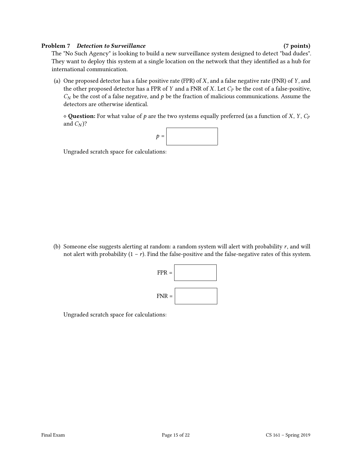### Problem 7 Detection to Surveillance (7 points) (7 points)

The "No Such Agency" is looking to build a new surveillance system designed to detect "bad dudes". They want to deploy this system at a single location on the network that they identified as a hub for international communication.

(a) One proposed detector has a false positive rate (FPR) of  $X$ , and a false negative rate (FNR) of  $Y$ , and the other proposed detector has a FPR of  $Y$  and a FNR of  $X$ . Let  $C_P$  be the cost of a false-positive,  $C_N$  be the cost of a false negative, and  $p$  be the fraction of malicious communications. Assume the detectors are otherwise identical.

 $\diamond$  Question: For what value of p are the two systems equally preferred (as a function of X, Y,  $C_P$ and  $C_N$ ?



Ungraded scratch space for calculations:

(b) Someone else suggests alerting at random: a random system will alert with probability  $r$ , and will not alert with probability  $(1 - r)$ . Find the false-positive and the false-negative rates of this system.



Ungraded scratch space for calculations: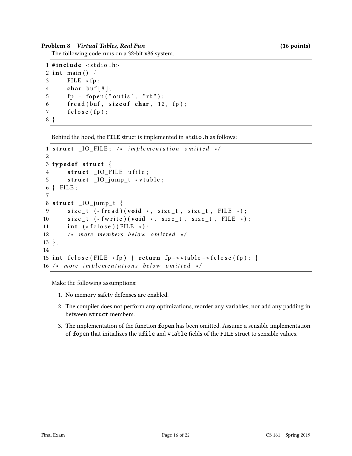#### Problem 8 Virtual Tables, Real Fun

The following code runs on a 32-bit x86 system.

```
1 \#include < stdio . h>
2 \mid \text{int } \text{main}() \mid3 FILE * fp;
4 char buf \lceil 8 \rceil;
5 fp = fopen ("outis", "rb");
6 fread (buf, size of char, 12, fp);
7 f c l o s e (f p );
8 }
```
Behind the hood, the FILE struct is implemented in stdio.h as follows:

```
1 \mid struct _IO_FILE; /* implementation omitted */
2
3 typedef struct {
4 struct IO FILE ufile;
5 struct IO_jump_t * vtable;
6 } FILE;
7
8 \; \text{struct} \quad \text{IO}_jump_t \; \{9 size_t (* fread )(void *, size_t, size_t, FILE *);10 size_t (* fwrite) (void *, size_t, size_t, FILE *);
11 int (* f c lose ) ( FILE * );
12 /* more members below omitted */
13 };
14
15 int fclose (FILE * fp) { return fp –> vtable –> fclose (fp); }
16 /* more implementations below omitted */
```
Make the following assumptions:

- 1. No memory safety defenses are enabled.
- 2. The compiler does not perform any optimizations, reorder any variables, nor add any padding in between struct members.
- 3. The implementation of the function fopen has been omitted. Assume a sensible implementation of fopen that initializes the ufile and vtable elds of the FILE struct to sensible values.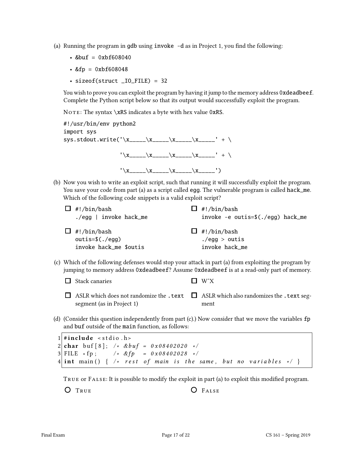- (a) Running the program in gdb using  $invoke -d$  as in Project 1, you find the following:
	- $&but = 0xbf608040$
	- $&fp = 0xbf608048$
	- sizeof(struct \_IO\_FILE) = 32

You wish to prove you can exploit the program by having it jump to the memory address 0xdeadbeef. Complete the Python script below so that its output would successfully exploit the program.

NOTE: The syntax  $xRS$  indicates a byte with hex value 0xRS.

| #!/usr/bin/env python2<br>import sys                |  |                                            |
|-----------------------------------------------------|--|--------------------------------------------|
| sys.stdout.write('\x_____\x_____\x_____\x_____' + \ |  |                                            |
|                                                     |  | $' \X$ ______\x_____\x______\x_______' + \ |
|                                                     |  |                                            |

(b) Now you wish to write an exploit script, such that running it will successfully exploit the program. You save your code from part (a) as a script called egg. The vulnerable program is called hack\_me. Which of the following code snippets is a valid exploit script?

| $\Box$ #!/bin/bash       | $\Box$ #!/bin/bash                 |
|--------------------------|------------------------------------|
| $./egg$   invoke hack_me | invoke -e outis= $(./egg)$ hack_me |
| $\Box$ #!/bin/bash       | $\Box$ #!/bin/bash                 |
| $outis=\$(./egg)$        | ./egg $>$ outis                    |
| invoke hack me \$outis   | invoke hack_me                     |

(c) Which of the following defenses would stop your attack in part (a) from exploiting the program by jumping to memory address 0xdeadbeef? Assume 0xdeadbeef is at a read-only part of memory.

 $\Box$  Stack canaries  $\Box$  W^X

- ASLR which does not randomize the <code>.text  $\quad \Box$ </code> ASLR which also randomizes the <code>.text</code> segsegment (as in Project 1) ment
- (d) (Consider this question independently from part (c).) Now consider that we move the variables fp and buf outside of the main function, as follows:

 $1 \#$ **include** < stdio . h> 2 char buf [8]; /\* &buf =  $0 \times 08402020$  \*/ 3 FILE \* fp;  $/$  \* & fp = 0 x 0 8 4 0 2 0 28 \*/  $4 |$  int main () { /\* rest of main is the same, but no variables \*/ }

TRUE OF FALSE: It is possible to modify the exploit in part (a) to exploit this modified program.

O TRUE **O** FALSE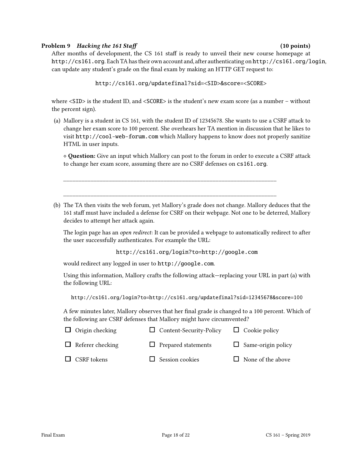### Problem 9 Hacking the 161 Staff (10 points) (10 points)

After months of development, the CS 161 staff is ready to unveil their new course homepage at http://cs161.org. Each TA has their own account and, after authenticating on http://cs161.org/login, can update any student's grade on the final exam by making an HTTP GET request to:

```
http://cs161.org/updatefinal?sid=<SID>&score=<SCORE>
```
where <SID> is the student ID, and <SCORE> is the student's new exam score (as a number – without the percent sign).

(a) Mallory is a student in CS 161, with the student ID of 12345678. She wants to use a CSRF attack to change her exam score to 100 percent. She overhears her TA mention in discussion that he likes to visit http://cool-web-forum.com which Mallory happens to know does not properly sanitize HTML in user inputs.

⋄ Question: Give an input which Mallory can post to the forum in order to execute a CSRF attack to change her exam score, assuming there are no CSRF defenses on cs161.org.

(b) The TA then visits the web forum, yet Mallory's grade does not change. Mallory deduces that the 161 staff must have included a defense for CSRF on their webpage. Not one to be deterred, Mallory decides to attempt her attack again.

\_\_\_\_\_\_\_\_\_\_\_\_\_\_\_\_\_\_\_\_\_\_\_\_\_\_\_\_\_\_\_\_\_\_\_\_\_\_\_\_\_\_\_\_\_\_\_\_\_\_\_\_\_\_\_\_\_\_\_\_\_\_\_\_\_\_\_\_\_\_

\_\_\_\_\_\_\_\_\_\_\_\_\_\_\_\_\_\_\_\_\_\_\_\_\_\_\_\_\_\_\_\_\_\_\_\_\_\_\_\_\_\_\_\_\_\_\_\_\_\_\_\_\_\_\_\_\_\_\_\_\_\_\_\_\_\_\_\_\_\_

The login page has an open redirect: It can be provided a webpage to automatically redirect to after the user successfully authenticates. For example the URL:

http://cs161.org/login?to=http://google.com

would redirect any logged in user to http://google.com.

Using this information, Mallory crafts the following attack—replacing your URL in part (a) with the following URL:

http://cs161.org/login?to=http://cs161.org/updatefinal?sid=12345678&score=100

A few minutes later, Mallory observes that her final grade is changed to a 100 percent. Which of the following are CSRF defenses that Mallory might have circumvented?

| $\Box$ Origin checking  | $\Box$ Content-Security-Policy | $\Box$ Cookie policy      |
|-------------------------|--------------------------------|---------------------------|
| $\Box$ Referer checking | $\Box$ Prepared statements     | $\Box$ Same-origin policy |
| $\Box$ CSRF tokens      | $\Box$ Session cookies         | $\Box$ None of the above  |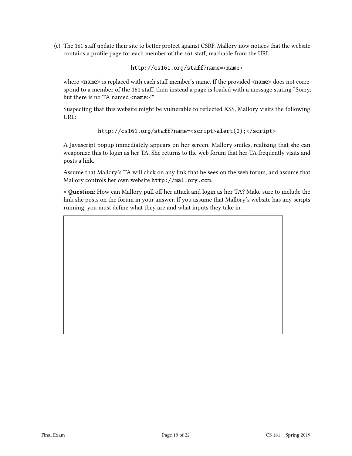(c) The 161 staff update their site to better protect against CSRF. Mallory now notices that the website contains a profile page for each member of the 161 staff, reachable from the URL

http://cs161.org/staff?name=<name>

where  $\langle$ name $\rangle$  is replaced with each staff member's name. If the provided  $\langle$ name $\rangle$  does not correspond to a member of the 161 staff, then instead a page is loaded with a message stating "Sorry, but there is no TA named <name>!"

Suspecting that this website might be vulnerable to reflected XSS, Mallory visits the following URL:

```
http://cs161.org/staff?name=<script>alert(0);</script>
```
A Javascript popup immediately appears on her screen. Mallory smiles, realizing that she can weaponize this to login as her TA. She returns to the web forum that her TA frequently visits and posts a link.

Assume that Mallory's TA will click on any link that he sees on the web forum, and assume that Mallory controls her own website http://mallory.com.

◇ Question: How can Mallory pull off her attack and login as her TA? Make sure to include the link she posts on the forum in your answer. If you assume that Mallory's website has any scripts running, you must define what they are and what inputs they take in.

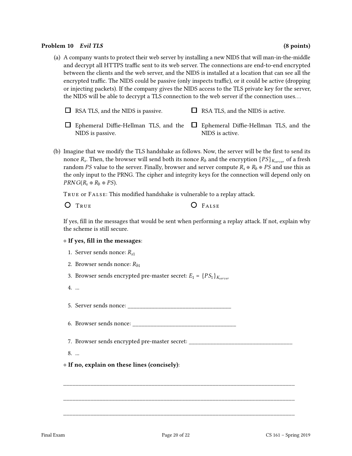#### Problem 10 Evil TLS (8 points) (8 points)

(a) A company wants to protect their web server by installing a new NIDS that will man-in-the-middle and decrypt all HTTPS traffic sent to its web server. The connections are end-to-end encrypted between the clients and the web server, and the NIDS is installed at a location that can see all the encrypted traffic. The NIDS could be passive (only inspects traffic), or it could be active (dropping or injecting packets). If the company gives the NIDS access to the TLS private key for the server, the NIDS will be able to decrypt a TLS connection to the web server if the connection uses. . .

| $\Box$ RSA TLS, and the NIDS is passive. |                |  |      |  | $\Box$ RSA TLS, and the NIDS is active. |                 |  |      |  |
|------------------------------------------|----------------|--|------|--|-----------------------------------------|-----------------|--|------|--|
|                                          | $1 - 100 + 11$ |  | $ -$ |  |                                         | $1.700$ $77.11$ |  | $-1$ |  |

- Ephemeral Diffie-Hellman TLS, and the  $\quad \Box \,$  Ephemeral Diffie-Hellman TLS, and the NIDS is passive. NIDS is active.
- (b) Imagine that we modify the TLS handshake as follows. Now, the server will be the first to send its nonce  $R_s$ . Then, the browser will send both its nonce  $R_b$  and the encryption  $\{PS\}_{K_{server}}$  of a fresh random PS value to the server. Finally, browser and server compute  $R_s \oplus R_b \oplus PS$  and use this as the only input to the PRNG. The cipher and integrity keys for the connection will depend only on  $PRNG(R_s \oplus R_b \oplus PS)$ .

TRUE OF FALSE: This modified handshake is vulnerable to a replay attack.

O TRUE **O** FALSE

If yes, fill in the messages that would be sent when performing a replay attack. If not, explain why the scheme is still secure.

#### $\diamond$  If yes, fill in the messages:

- 1. Server sends nonce:  $R_{s1}$
- 2. Browser sends nonce:  $R_{h1}$

3. Browser sends encrypted pre-master secret:  $E_1 = \{PS_1\}_{K \text{corner}}$ 

4. ...

5. Server sends nonce: \_\_\_\_\_\_\_\_\_\_\_\_\_\_\_\_\_\_\_\_\_\_\_\_\_\_\_\_\_\_\_\_\_\_

6. Browser sends nonce:

7. Browser sends encrypted pre-master secret:

\_\_\_\_\_\_\_\_\_\_\_\_\_\_\_\_\_\_\_\_\_\_\_\_\_\_\_\_\_\_\_\_\_\_\_\_\_\_\_\_\_\_\_\_\_\_\_\_\_\_\_\_\_\_\_\_\_\_\_\_\_\_\_\_\_\_\_\_\_\_\_\_\_\_\_\_

\_\_\_\_\_\_\_\_\_\_\_\_\_\_\_\_\_\_\_\_\_\_\_\_\_\_\_\_\_\_\_\_\_\_\_\_\_\_\_\_\_\_\_\_\_\_\_\_\_\_\_\_\_\_\_\_\_\_\_\_\_\_\_\_\_\_\_\_\_\_\_\_\_\_\_\_

\_\_\_\_\_\_\_\_\_\_\_\_\_\_\_\_\_\_\_\_\_\_\_\_\_\_\_\_\_\_\_\_\_\_\_\_\_\_\_\_\_\_\_\_\_\_\_\_\_\_\_\_\_\_\_\_\_\_\_\_\_\_\_\_\_\_\_\_\_\_\_\_\_\_\_\_

8. ...

### ⋄ If no, explain on these lines (concisely):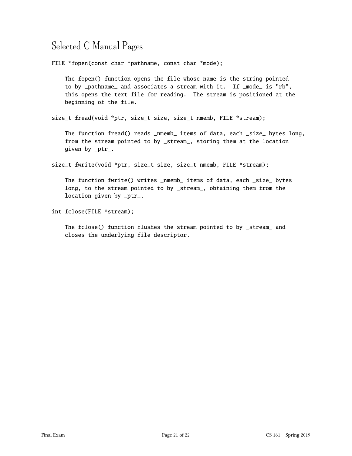## Selected C Manual Pages

FILE \*fopen(const char \*pathname, const char \*mode);

The fopen() function opens the file whose name is the string pointed to by \_pathname\_ and associates a stream with it. If \_mode\_ is "rb", this opens the text file for reading. The stream is positioned at the beginning of the file.

size\_t fread(void \*ptr, size\_t size, size\_t nmemb, FILE \*stream);

The function fread() reads \_nmemb\_ items of data, each \_size\_ bytes long, from the stream pointed to by \_stream\_, storing them at the location given by \_ptr\_.

size\_t fwrite(void \*ptr, size\_t size, size\_t nmemb, FILE \*stream);

The function fwrite() writes \_nmemb\_ items of data, each \_size\_ bytes long, to the stream pointed to by \_stream\_, obtaining them from the location given by \_ptr\_.

int fclose(FILE \*stream);

The fclose() function flushes the stream pointed to by \_stream\_ and closes the underlying file descriptor.